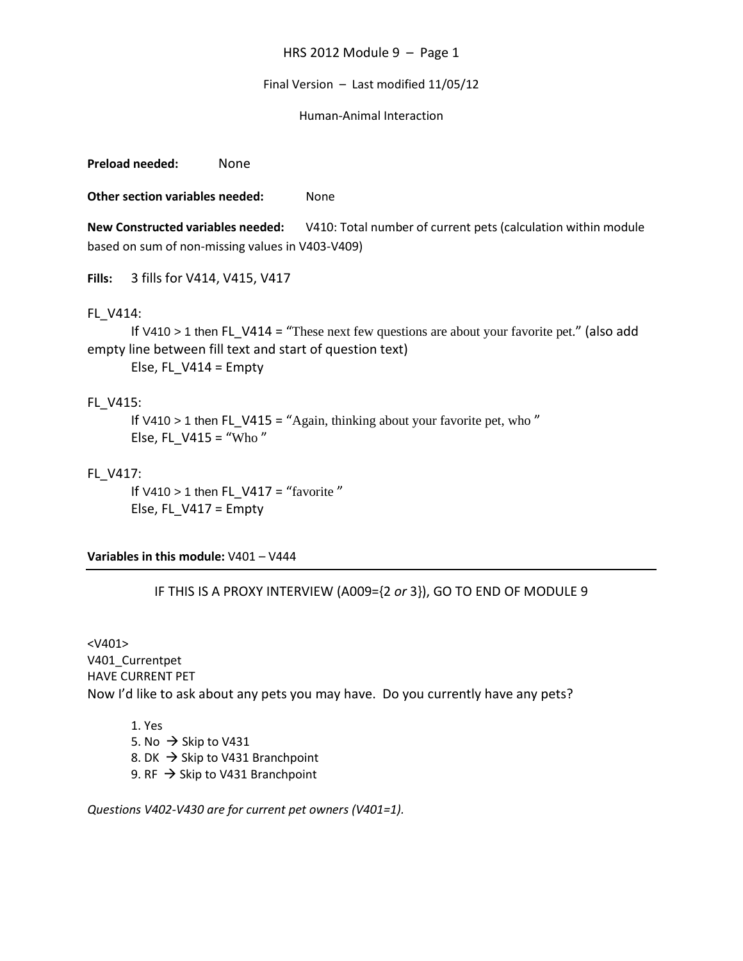#### Final Version – Last modified 11/05/12

#### Human-Animal Interaction

**Preload needed:** None

**Other section variables needed:** None

**New Constructed variables needed:** V410: Total number of current pets (calculation within module based on sum of non-missing values in V403-V409)

**Fills:** 3 fills for V414, V415, V417

### FL\_V414:

If V410 > 1 then FL V414 = "These next few questions are about your favorite pet." (also add empty line between fill text and start of question text)

Else, FL  $V414 =$  Empty

# FL\_V415:

If V410 > 1 then FL\_V415 = "Again, thinking about your favorite pet, who " Else, FL V415 = "Who"

## FL\_V417:

If V410 > 1 then FL V417 = "favorite" Else, FL\_V417 = Empty

**Variables in this module:** V401 – V444

### IF THIS IS A PROXY INTERVIEW (A009={2 *or* 3}), GO TO END OF MODULE 9

 $<$ V401 $>$ V401\_Currentpet HAVE CURRENT PET Now I'd like to ask about any pets you may have. Do you currently have any pets?

1. Yes 5. No  $\rightarrow$  Skip to V431 8. DK  $\rightarrow$  Skip to V431 Branchpoint 9. RF  $\rightarrow$  Skip to V431 Branchpoint

*Questions V402-V430 are for current pet owners (V401=1).*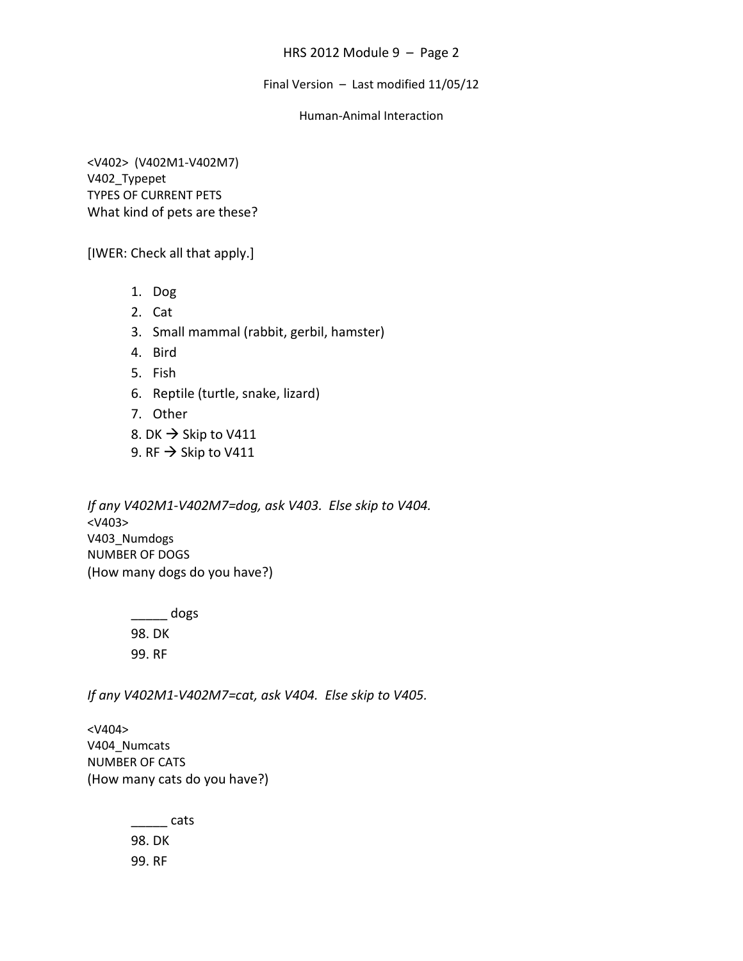Final Version – Last modified 11/05/12

## Human-Animal Interaction

<V402> (V402M1-V402M7) V402\_Typepet TYPES OF CURRENT PETS What kind of pets are these?

[IWER: Check all that apply.]

- 1. Dog
- 2. Cat
- 3. Small mammal (rabbit, gerbil, hamster)
- 4. Bird
- 5. Fish
- 6. Reptile (turtle, snake, lizard)
- 7. Other
- 8. DK  $\rightarrow$  Skip to V411
- 9. RF  $\rightarrow$  Skip to V411

*If any V402M1-V402M7=dog, ask V403. Else skip to V404.* <V403> V403\_Numdogs NUMBER OF DOGS (How many dogs do you have?)

> $\frac{1}{2}$  dogs 98. DK 99. RF

*If any V402M1-V402M7=cat, ask V404. Else skip to V405.*

<V404> V404 Numcats NUMBER OF CATS (How many cats do you have?)

> \_\_\_\_\_ cats 98. DK 99. RF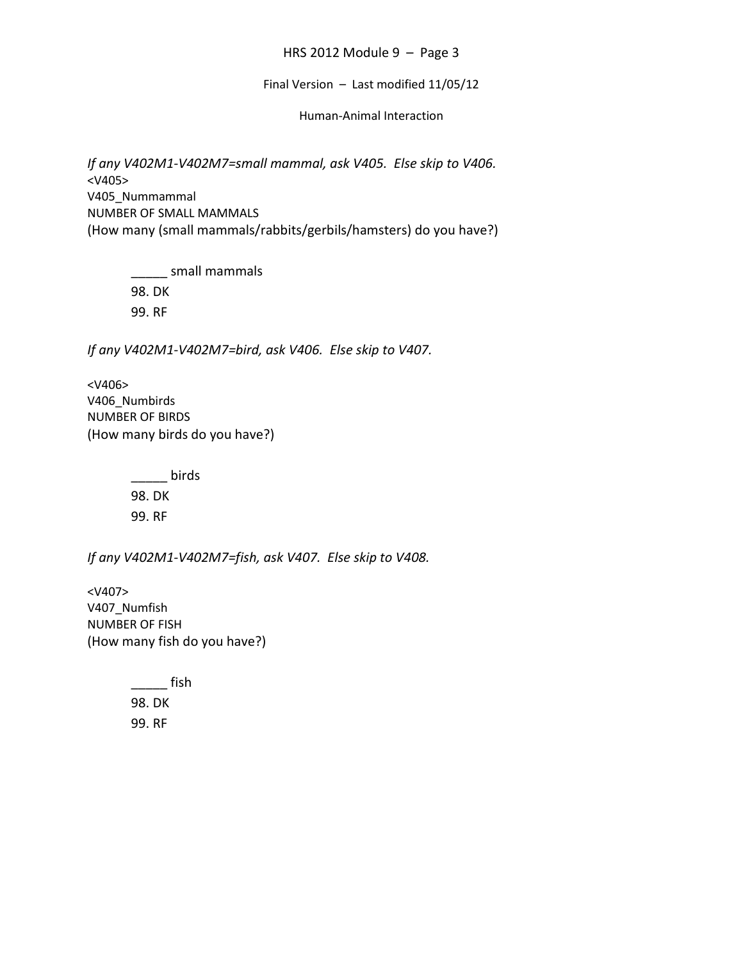Final Version – Last modified 11/05/12

Human-Animal Interaction

*If any V402M1-V402M7=small mammal, ask V405. Else skip to V406.* <V405> V405\_Nummammal NUMBER OF SMALL MAMMALS (How many (small mammals/rabbits/gerbils/hamsters) do you have?)

> \_\_\_\_\_ small mammals 98. DK 99. RF

*If any V402M1-V402M7=bird, ask V406. Else skip to V407.*

<V406> V406 Numbirds NUMBER OF BIRDS (How many birds do you have?)

> $\frac{1}{2}$  birds 98. DK 99. RF

*If any V402M1-V402M7=fish, ask V407. Else skip to V408.*

<V407> V407\_Numfish NUMBER OF FISH (How many fish do you have?)

> $\frac{1}{\sqrt{1-\frac{1}{2}}\sqrt{1-\frac{1}{2}}\sinh(\frac{1}{2}-\frac{1}{2})}$ 98. DK 99. RF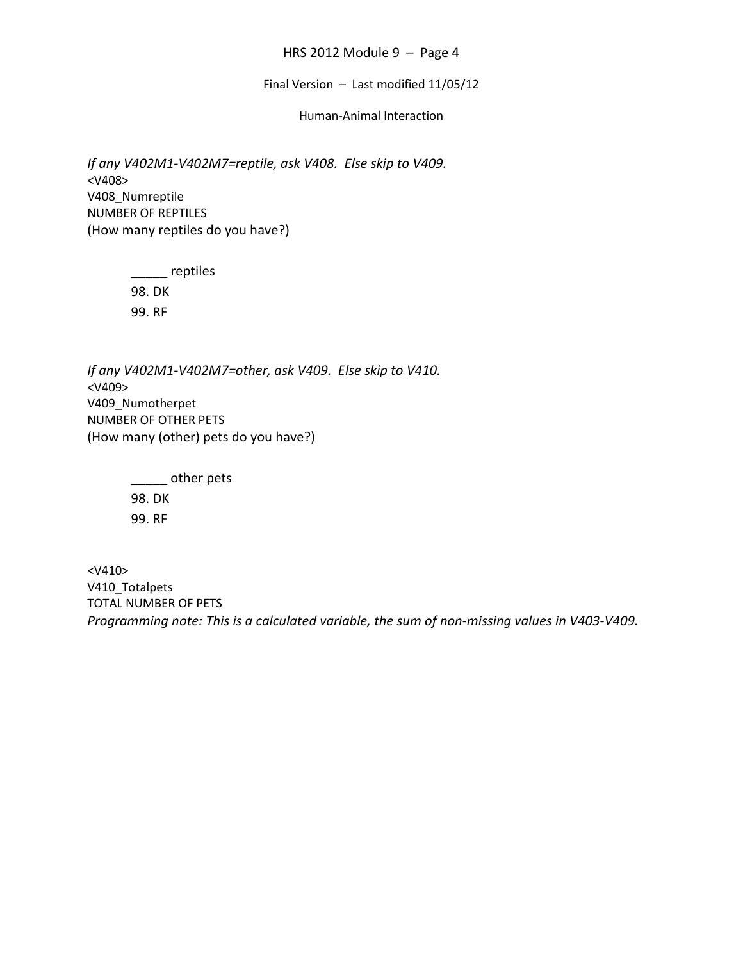Final Version – Last modified 11/05/12

### Human-Animal Interaction

*If any V402M1-V402M7=reptile, ask V408. Else skip to V409.* <V408> V408\_Numreptile NUMBER OF REPTILES (How many reptiles do you have?)

> \_\_\_\_\_ reptiles 98. DK 99. RF

*If any V402M1-V402M7=other, ask V409. Else skip to V410.* <V409> V409 Numotherpet NUMBER OF OTHER PETS (How many (other) pets do you have?)

> \_\_\_\_\_ other pets 98. DK 99. RF

<V410> V410\_Totalpets TOTAL NUMBER OF PETS *Programming note: This is a calculated variable, the sum of non-missing values in V403-V409.*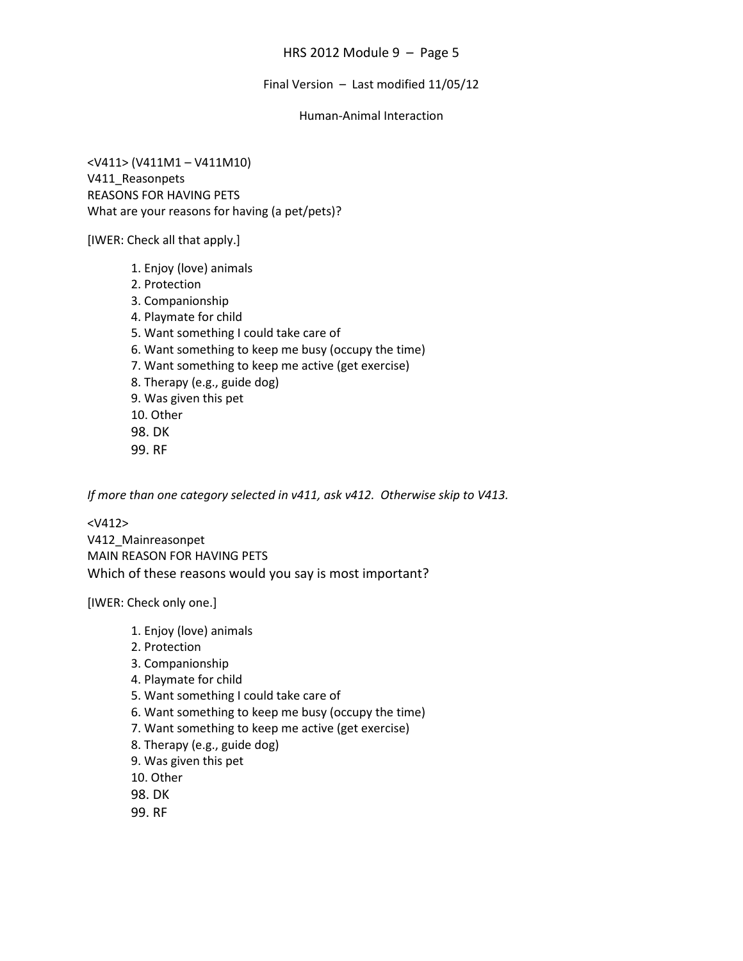Final Version – Last modified 11/05/12

### Human-Animal Interaction

<V411> (V411M1 – V411M10) V411 Reasonpets REASONS FOR HAVING PETS What are your reasons for having (a pet/pets)?

[IWER: Check all that apply.]

- 1. Enjoy (love) animals 2. Protection 3. Companionship 4. Playmate for child 5. Want something I could take care of 6. Want something to keep me busy (occupy the time) 7. Want something to keep me active (get exercise) 8. Therapy (e.g., guide dog) 9. Was given this pet 10. Other 98. DK
- 99. RF

*If more than one category selected in v411, ask v412. Otherwise skip to V413.*

<V412> V412\_Mainreasonpet MAIN REASON FOR HAVING PETS Which of these reasons would you say is most important?

[IWER: Check only one.]

- 1. Enjoy (love) animals
- 2. Protection
- 3. Companionship
- 4. Playmate for child
- 5. Want something I could take care of
- 6. Want something to keep me busy (occupy the time)
- 7. Want something to keep me active (get exercise)
- 8. Therapy (e.g., guide dog)
- 9. Was given this pet
- 10. Other
- 98. DK
- 99. RF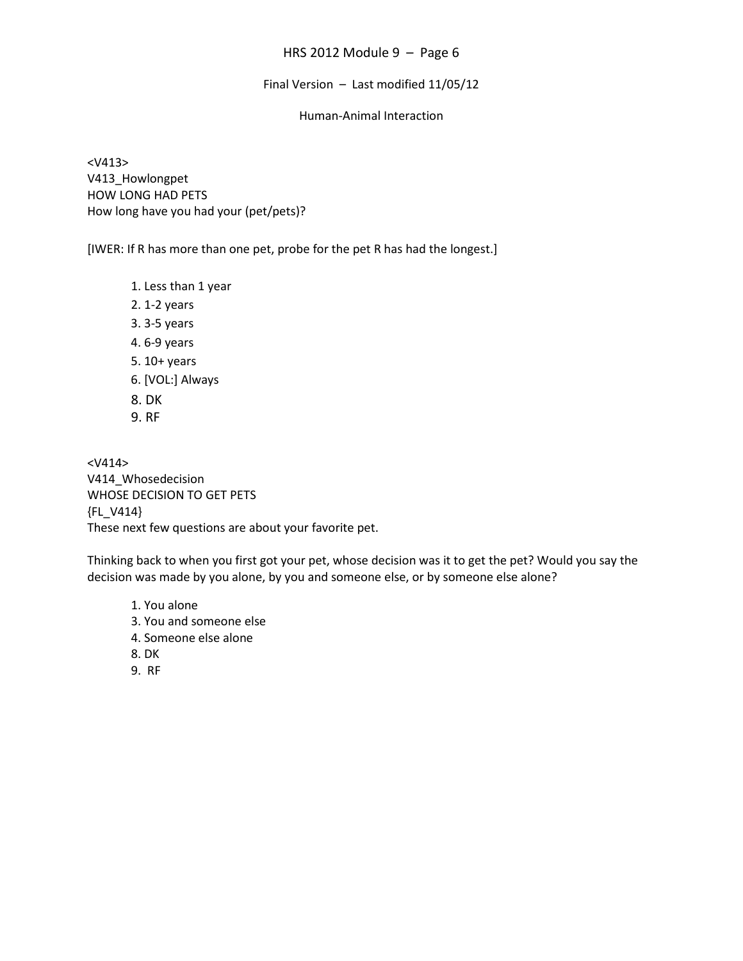Final Version – Last modified 11/05/12

#### Human-Animal Interaction

<V413> V413 Howlongpet HOW LONG HAD PETS How long have you had your (pet/pets)?

[IWER: If R has more than one pet, probe for the pet R has had the longest.]

1. Less than 1 year 2. 1-2 years 3. 3-5 years 4. 6-9 years 5. 10+ years 6. [VOL:] Always 8. DK 9. RF

<V414> V414\_Whosedecision WHOSE DECISION TO GET PETS {FL\_V414} These next few questions are about your favorite pet.

Thinking back to when you first got your pet, whose decision was it to get the pet? Would you say the decision was made by you alone, by you and someone else, or by someone else alone?

1. You alone 3. You and someone else 4. Someone else alone 8. DK 9. RF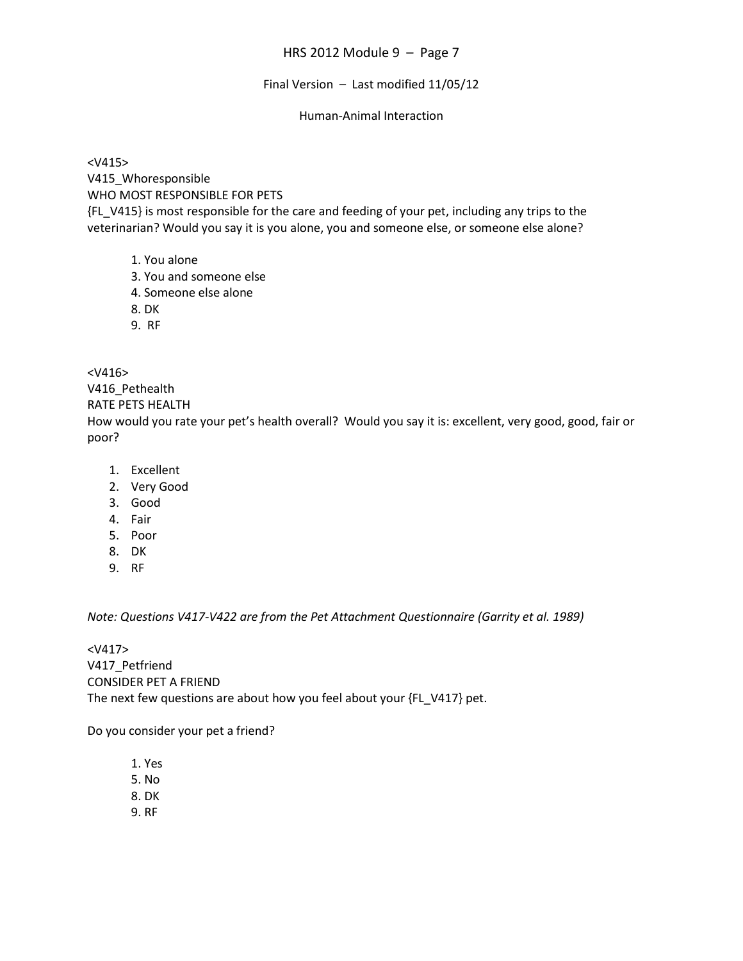Final Version – Last modified 11/05/12

### Human-Animal Interaction

<V415> V415\_Whoresponsible WHO MOST RESPONSIBLE FOR PETS {FL\_V415} is most responsible for the care and feeding of your pet, including any trips to the veterinarian? Would you say it is you alone, you and someone else, or someone else alone?

- 1. You alone
- 3. You and someone else
- 4. Someone else alone
- 8. DK
- 9. RF

<V416>

V416\_Pethealth

RATE PETS HEALTH

How would you rate your pet's health overall? Would you say it is: excellent, very good, good, fair or poor?

- 1. Excellent
- 2. Very Good
- 3. Good
- 4. Fair
- 5. Poor
- 8. DK
- 9. RF

*Note: Questions V417-V422 are from the Pet Attachment Questionnaire (Garrity et al. 1989)*

<V417> V417 Petfriend CONSIDER PET A FRIEND The next few questions are about how you feel about your {FL\_V417} pet.

Do you consider your pet a friend?

1. Yes 5. No 8. DK 9. RF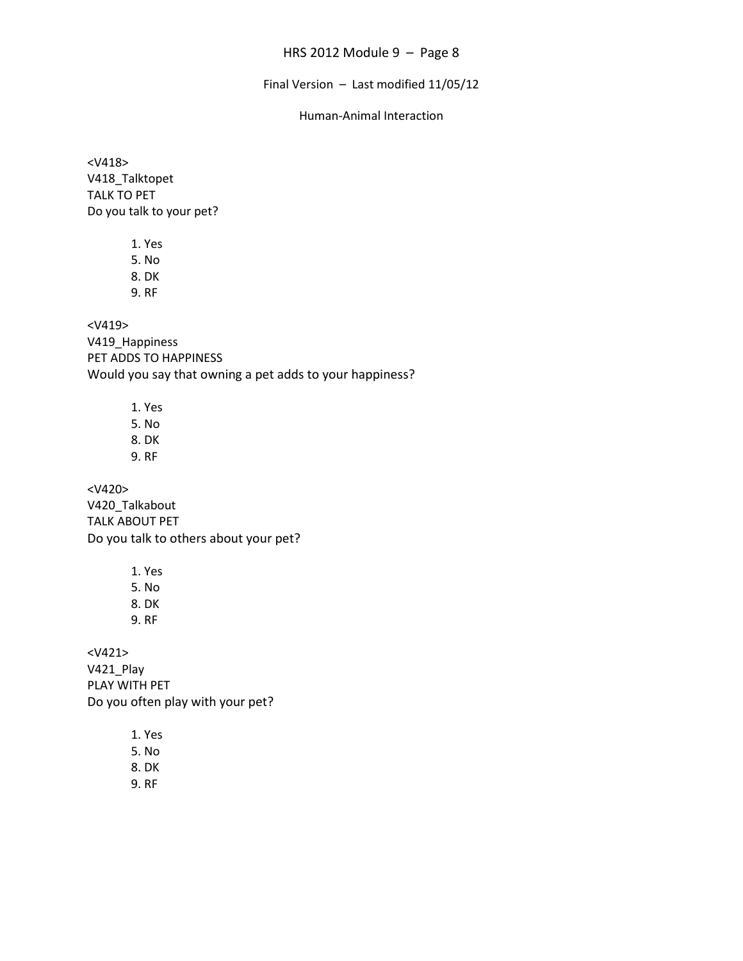Final Version – Last modified 11/05/12

#### Human-Animal Interaction

<V418> V418\_Talktopet TALK TO PET Do you talk to your pet?

> 1. Yes 5. No 8. DK

9. RF

<V419>

V419 Happiness PET ADDS TO HAPPINESS Would you say that owning a pet adds to your happiness?

1. Yes

5. No

- 8. DK
- 9. RF

<V420> V420\_Talkabout TALK ABOUT PET Do you talk to others about your pet?

> 1. Yes 5. No 8. DK 9. RF

<V421> V421\_Play PLAY WITH PET Do you often play with your pet?

> 1. Yes 5. No

8. DK

9. RF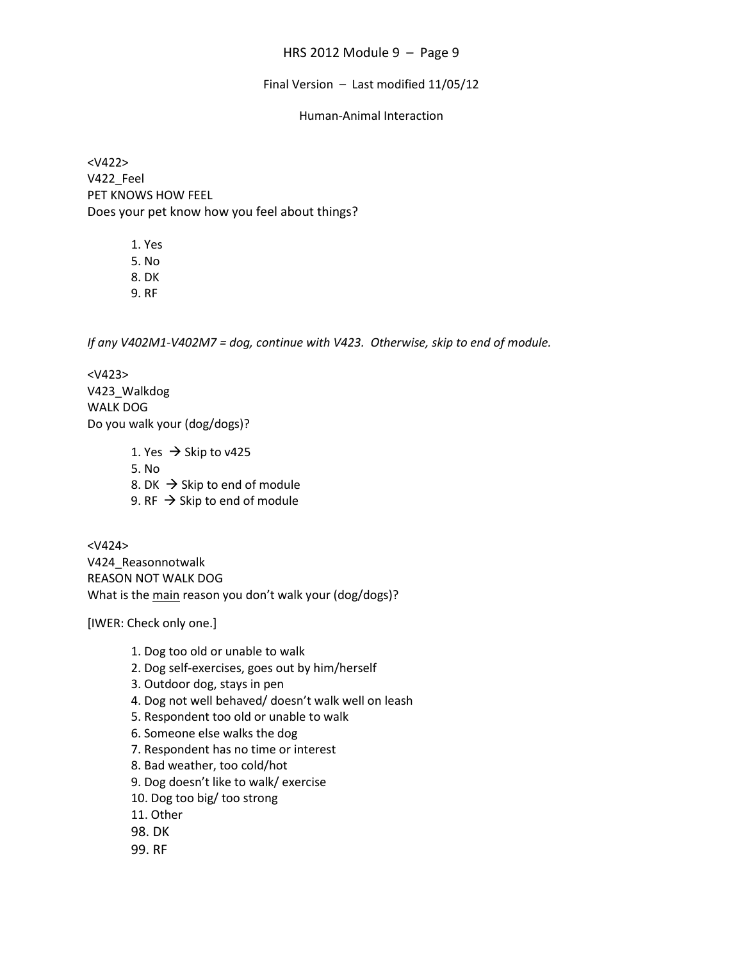Final Version – Last modified 11/05/12

## Human-Animal Interaction

<V422> V422\_Feel PET KNOWS HOW FEEL Does your pet know how you feel about things?

> 1. Yes 5. No 8. DK 9. RF

*If any V402M1-V402M7 = dog, continue with V423. Otherwise, skip to end of module.*

<V423> V423\_Walkdog WALK DOG Do you walk your (dog/dogs)?

> 1. Yes  $\rightarrow$  Skip to v425 5. No 8. DK  $\rightarrow$  Skip to end of module 9. RF  $\rightarrow$  Skip to end of module

<V424> V424\_Reasonnotwalk REASON NOT WALK DOG What is the main reason you don't walk your (dog/dogs)?

[IWER: Check only one.]

- 1. Dog too old or unable to walk
- 2. Dog self-exercises, goes out by him/herself
- 3. Outdoor dog, stays in pen
- 4. Dog not well behaved/ doesn't walk well on leash
- 5. Respondent too old or unable to walk
- 6. Someone else walks the dog
- 7. Respondent has no time or interest
- 8. Bad weather, too cold/hot
- 9. Dog doesn't like to walk/ exercise
- 10. Dog too big/ too strong
- 11. Other
- 98. DK
- 99. RF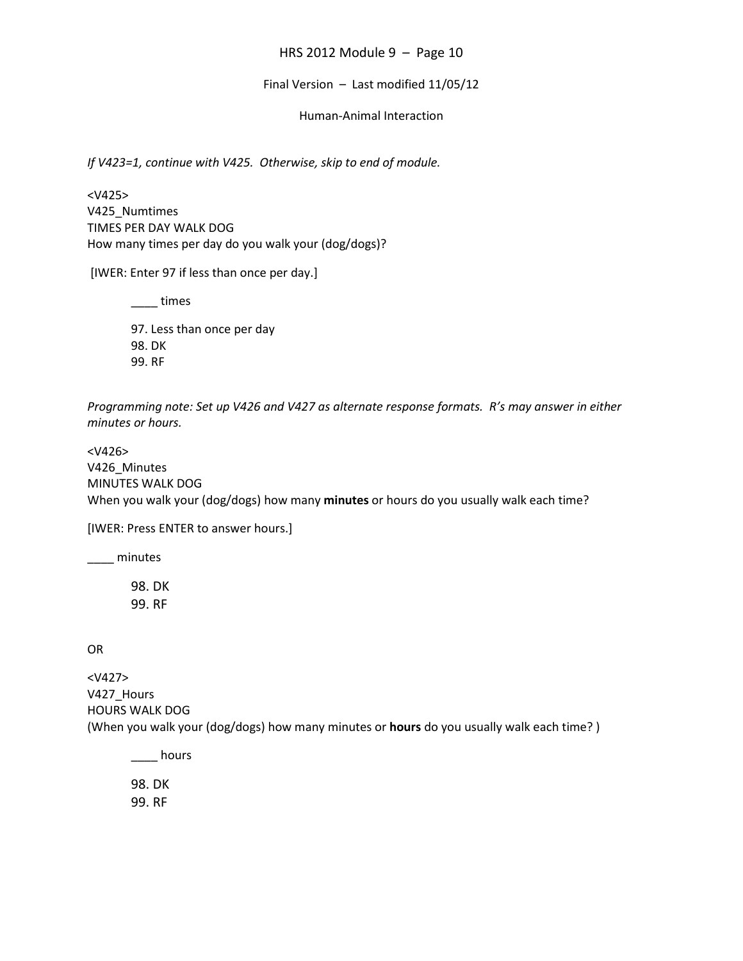#### Final Version – Last modified 11/05/12

#### Human-Animal Interaction

*If V423=1, continue with V425. Otherwise, skip to end of module.*

<V425> V425\_Numtimes TIMES PER DAY WALK DOG How many times per day do you walk your (dog/dogs)?

[IWER: Enter 97 if less than once per day.]

\_\_\_\_ times

97. Less than once per day 98. DK 99. RF

*Programming note: Set up V426 and V427 as alternate response formats. R's may answer in either minutes or hours.*

<V426> V426\_Minutes MINUTES WALK DOG When you walk your (dog/dogs) how many **minutes** or hours do you usually walk each time?

[IWER: Press ENTER to answer hours.]

\_\_\_\_ minutes

98. DK 99. RF

OR

<V427> V427\_Hours HOURS WALK DOG (When you walk your (dog/dogs) how many minutes or **hours** do you usually walk each time? )

\_\_\_\_ hours

98. DK 99. RF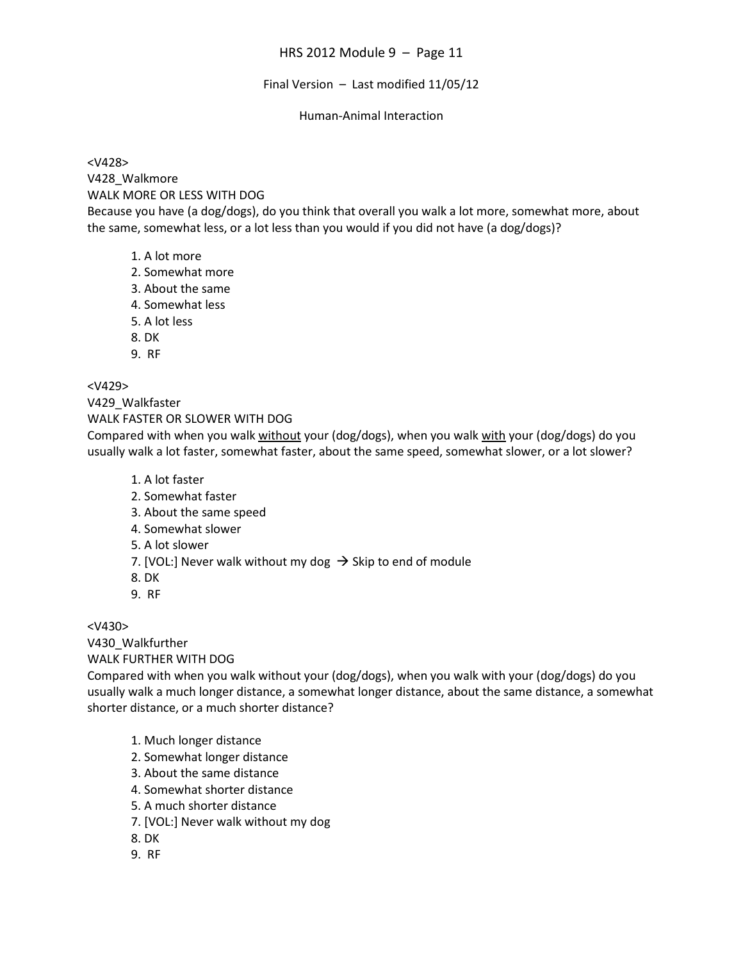Final Version – Last modified 11/05/12

### Human-Animal Interaction

<V428> V428\_Walkmore WALK MORE OR LESS WITH DOG Because you have (a dog/dogs), do you think that overall you walk a lot more, somewhat more, about the same, somewhat less, or a lot less than you would if you did not have (a dog/dogs)?

- 1. A lot more
- 2. Somewhat more
- 3. About the same
- 4. Somewhat less
- 5. A lot less
- 8. DK
- 9. RF

<V429>

V429\_Walkfaster

WALK FASTER OR SLOWER WITH DOG

Compared with when you walk without your (dog/dogs), when you walk with your (dog/dogs) do you usually walk a lot faster, somewhat faster, about the same speed, somewhat slower, or a lot slower?

- 1. A lot faster
- 2. Somewhat faster
- 3. About the same speed
- 4. Somewhat slower
- 5. A lot slower
- 7. [VOL:] Never walk without my dog  $\rightarrow$  Skip to end of module
- 8. DK
- 9. RF

<V430>

V430\_Walkfurther

WALK FURTHER WITH DOG

Compared with when you walk without your (dog/dogs), when you walk with your (dog/dogs) do you usually walk a much longer distance, a somewhat longer distance, about the same distance, a somewhat shorter distance, or a much shorter distance?

- 1. Much longer distance
- 2. Somewhat longer distance
- 3. About the same distance
- 4. Somewhat shorter distance
- 5. A much shorter distance
- 7. [VOL:] Never walk without my dog
- 8. DK
- 9. RF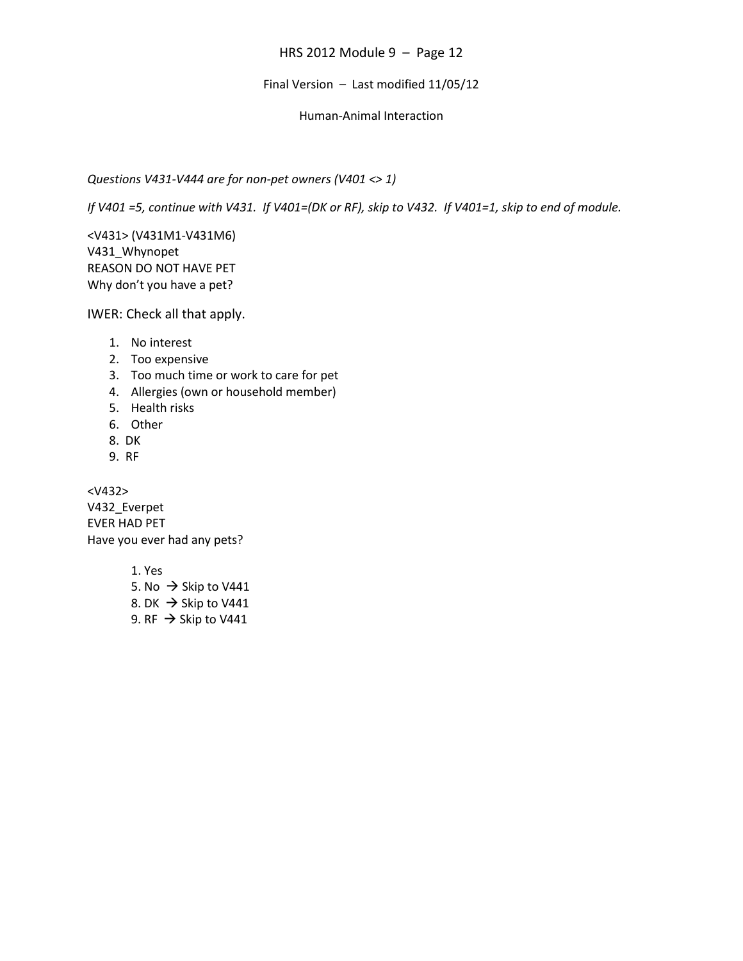### Final Version – Last modified 11/05/12

## Human-Animal Interaction

## *Questions V431-V444 are for non-pet owners (V401 <> 1)*

*If V401 =5, continue with V431. If V401=(DK or RF), skip to V432. If V401=1, skip to end of module.*

<V431> (V431M1-V431M6) V431\_Whynopet REASON DO NOT HAVE PET Why don't you have a pet?

IWER: Check all that apply.

- 1. No interest
- 2. Too expensive
- 3. Too much time or work to care for pet
- 4. Allergies (own or household member)
- 5. Health risks
- 6. Other
- 8. DK
- 9. RF

<V432> V432\_Everpet EVER HAD PET Have you ever had any pets?

> 1. Yes 5. No  $\rightarrow$  Skip to V441 8. DK  $\rightarrow$  Skip to V441 9. RF  $\rightarrow$  Skip to V441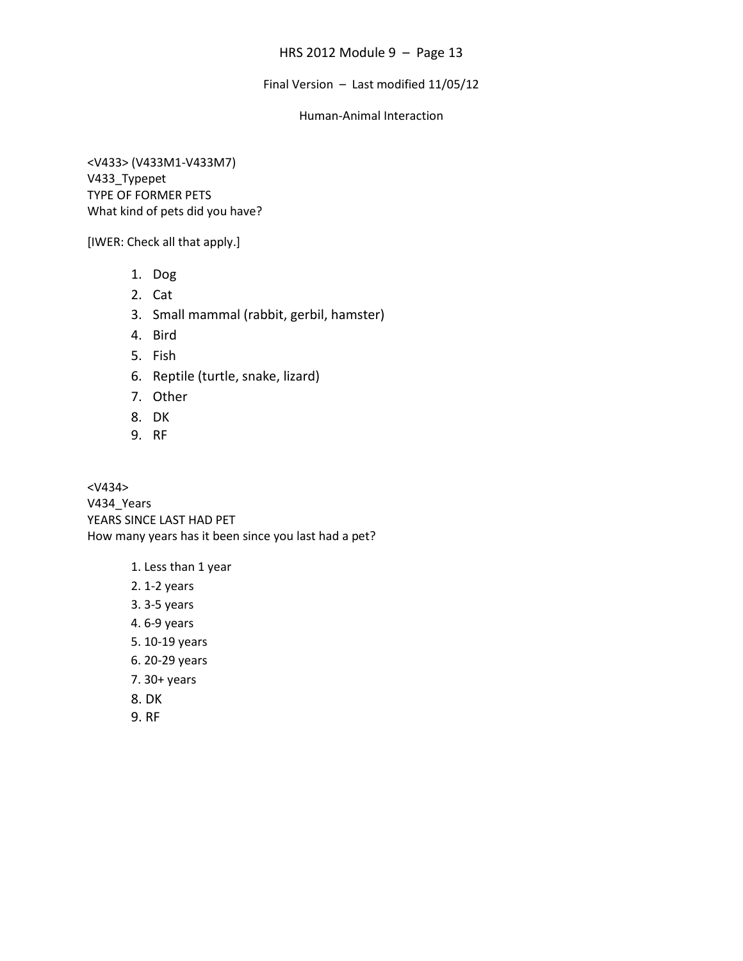Final Version – Last modified 11/05/12

### Human-Animal Interaction

<V433> (V433M1-V433M7) V433\_Typepet TYPE OF FORMER PETS What kind of pets did you have?

[IWER: Check all that apply.]

- 1. Dog
- 2. Cat
- 3. Small mammal (rabbit, gerbil, hamster)
- 4. Bird
- 5. Fish
- 6. Reptile (turtle, snake, lizard)
- 7. Other
- 8. DK
- 9. RF

<V434> V434\_Years YEARS SINCE LAST HAD PET How many years has it been since you last had a pet?

- 1. Less than 1 year
- 2. 1-2 years
- 3. 3-5 years
- 4. 6-9 years
- 5. 10-19 years
- 6. 20-29 years
- 7. 30+ years
- 8. DK
- 9. RF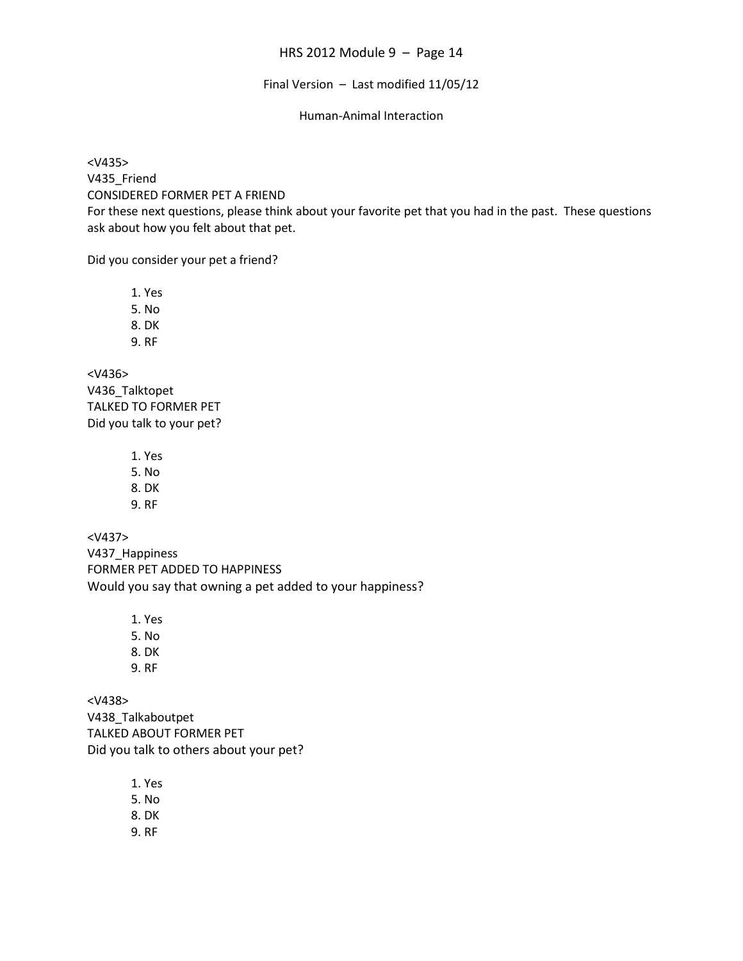# Final Version – Last modified 11/05/12

## Human-Animal Interaction

<V435> V435 Friend CONSIDERED FORMER PET A FRIEND For these next questions, please think about your favorite pet that you had in the past. These questions ask about how you felt about that pet.

Did you consider your pet a friend?

1. Yes 5. No 8. DK 9. RF <V436> V436\_Talktopet

TALKED TO FORMER PET Did you talk to your pet?

1. Yes

5. No

8. DK

9. RF

<V437> V437\_Happiness FORMER PET ADDED TO HAPPINESS Would you say that owning a pet added to your happiness?

> 1. Yes 5. No 8. DK

9. RF

<V438> V438\_Talkaboutpet TALKED ABOUT FORMER PET Did you talk to others about your pet?

> 1. Yes 5. No 8. DK 9. RF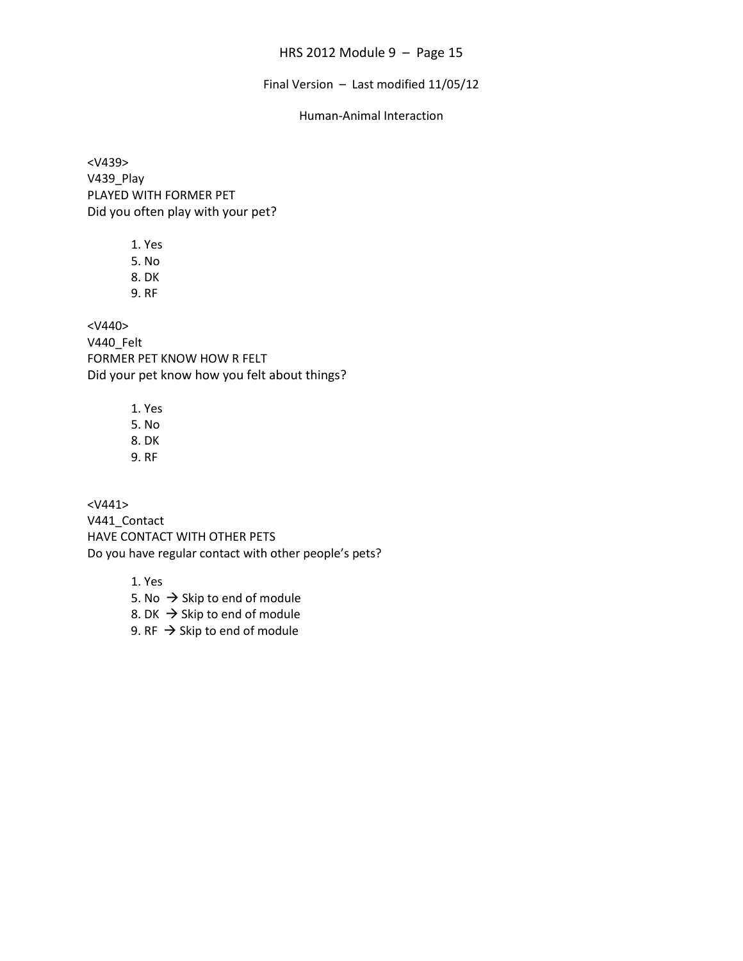Final Version – Last modified 11/05/12

#### Human-Animal Interaction

<V439> V439\_Play PLAYED WITH FORMER PET Did you often play with your pet?

> 1. Yes 5. No 8. DK

9. RF

<V440> V440\_Felt FORMER PET KNOW HOW R FELT Did your pet know how you felt about things?

1. Yes

5. No

8. DK 9. RF

<V441> V441\_Contact HAVE CONTACT WITH OTHER PETS

Do you have regular contact with other people's pets?

1. Yes

5. No  $\rightarrow$  Skip to end of module 8. DK  $\rightarrow$  Skip to end of module

9.  $RF \rightarrow$  Skip to end of module